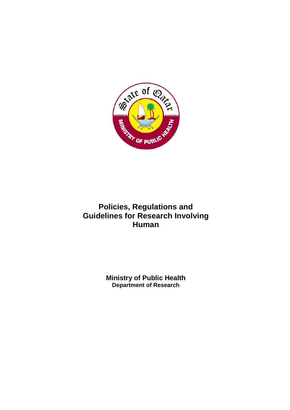

# **Policies, Regulations and Guidelines for Research Involving Human**

**Ministry of Public Health Department of Research**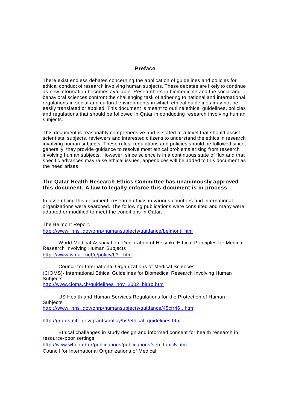#### **Preface**

There exist endless debates concerning the application of guidelines and policies for ethical conduct of research involving human subjects. These debates are likely to continue as new information becomes available. Researchers in biomedicine and the social and behavioral sciences confront the challenging task of adhering to national and international regulations in social and cultural environments in which ethical guidelines may not be easily translated or applied. This document is meant to outline ethical guidelines, policies and regulations that should be followed in Qatar in conducting research involving human subjects.

This document is reasonably comprehensive and is stated at a level that should assist scientists, subjects, reviewers and interested citizens to understand the ethics in research involving human subjects. These rules, regulations and policies should be followed since, generally, they provide guidance to resolve most ethical problems arising from research involving human subjects. However, since science is in a continuous state of flux and that specific advances may raise ethical issues, appendices will be added to this document as the need arises.

#### **The Qatar Health Research Ethics Committee has unanimously approved this document. A law to legally enforce this document is in process.**

In assembling this document, research ethics in various countries and international organizations were searched. The following publications were consulted and many were adapted or modified to meet the conditions in Qatar.

The Belmont Report.

http :/[/www. hhs .gov/ohrp/humansubjects/guidance/belmont.](http://www.hhs.gov/ohrp/humansubjects/guidance/belmont) htm

World Medical Association, Declaration of Helsinki. Ethical Principles for Medical Research Involving Human Subjects http :/[/www.wma . net/e/policy/b3](http://www.wma.net/e/policy/b3) . htm

Council for International Organizations of Medical Sciences (CIOMS)- International Ethical Guidelines for Biomedical Research Involving Human Subjects. [http://www.cioms.ch/guidelines\\_nov\\_2002\\_blurb.htm](http://www.cioms.ch/guidelines_nov_2002_blurb.htm)

US Health and Human Services Regulations for the Protection of Human **Subjects** http :/[/www. hhs .gov/ohrp/humansubjects/guidance/45cfr46](http://www.hhs.gov/ohrp/humansubjects/guidance/45cfr46) . htm

[http://grants.nih .gov/grants/policy/hs/ethical\\_guidelines.htm](http://grants.nih.gov/grants/policy/hs/ethical_guidelines.htm)

Ethical challenges in study design and informed consent for health research in resource-poor settings

[http://www.who.int/tdr/publications/publications/seb\\_topic5.htm](http://www.who.int/tdr/publications/publications/seb_topic5.htm) Council for International Organizations of Medical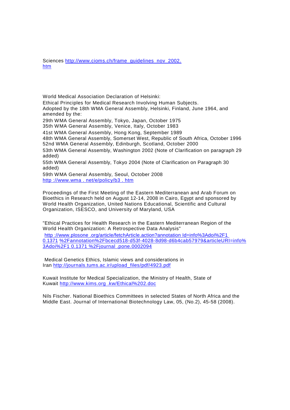Sciences [http://www.cioms.ch/frame\\_guidelines\\_nov\\_2002.](http://www.cioms.ch/frame_guidelines_nov_2002.htm) [htm](http://www.cioms.ch/frame_guidelines_nov_2002.htm)

World Medical Association Declaration of Helsinki: Ethical Principles for Medical Research Involving Human Subjects. Adopted by the 18th WMA General Assembly, Helsinki, Finland, June 1964, and amended by the: 29th WMA General Assembly, Tokyo, Japan, October 1975 35th WMA General Assembly, Venice, Italy, October 1983 41st WMA General Assembly, Hong Kong, September 1989 48th WMA General Assembly, Somerset West, Republic of South Africa, October 1996 52nd WMA General Assembly, Edinburgh, Scotland, October 2000 53th WMA General Assembly, Washington 2002 (Note of Clarification on paragraph 29 added) 55th WMA General Assembly, Tokyo 2004 (Note of Clarification on Paragraph 30 added) 59th WMA General Assembly, Seoul, October 2008 http :/[/www.wma . net/e/policy/b3](http://www.wma.net/e/policy/b3) . htm

Proceedings of the First Meeting of the Eastern Mediterranean and Arab Forum on Bioethics in Research held on August 12-14, 2008 in Cairo, Egypt and sponsored by World Health Organization, United Nations Educational, Scientific and Cultural

"Ethical Practices for Health Research in the Eastern Mediterranean Region of the World Health Organization: A Retrospective Data Analysis"

http :/[/www.plosone .org/article/fetchArticle.action?annotation](http://www.plosone.org/article/fetchArticle.action?annotation) Id=info%3Adoi%2F1 0.1371 %2Fannotation%2Fbcecd518-d53f-4028-8d98-d6b4cab57979&articleURI=info% 3Adoi%2F1 0.1371 %2Fjournal .pone.0002094

Medical Genetics Ethics, Islamic views and considerations in Iran [http://journals.tums.ac.ir/upload\\_files/pdf/4923.pdf](http://journals.tums.ac.ir/upload_files/pdf/4923.pdf)

Organization, ISESCO, and University of Maryland, USA

Kuwait Institute for Medical Specialization, the Ministry of Health, State of Kuwait [http://www.kims.org](http://www.kims.org/) .kw/Ethical%202.doc

Nils Fischer. National Bioethics Committees in selected States of North Africa and the Middle East. Journal of International Biotechnology Law, 05, (No.2), 45-58 (2008).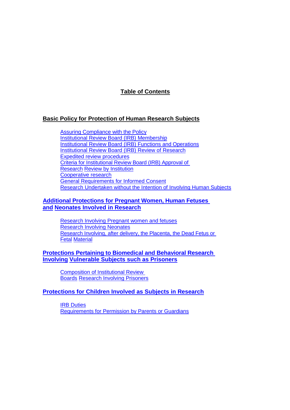### **Table of Contents**

#### **Basic Policy for Protection of Human Research Subjects**

Assuring Compliance with the Policy Institutional Review Board (IRB) Membership Institutional Review Board (IRB) Functions and Operations Institutional Review Board (IRB) Review of Research Expedited review procedures Criteria for Institutional Review Board (IRB) Approval of **Research Review by Institution** Cooperative research General Requirements for Informed Consent Research Undertaken without the Intention of Involving Human Subjects

#### **Additional Protections for Pregnant Women, Human Fetuses and Neonates Involved in Research**

Research Involving Pregnant women and fetuses Research Involving Neonates Research Involving, after delivery, the Placenta, the Dead Fetus or Fetal Material

**Protections Pertaining to Biomedical and Behavioral Research Involving Vulnerable Subjects such as Prisoners**

Composition of Institutional Review Boards Research Involving Prisoners

#### **Protections for Children Involved as Subjects in Research**

**IRB Duties** Requirements for Permission by Parents or Guardians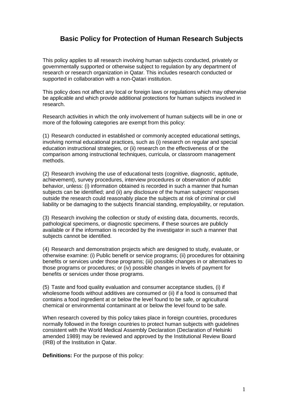## **Basic Policy for Protection of Human Research Subjects**

This policy applies to all research involving human subjects conducted, privately or governmentally supported or otherwise subject to regulation by any department of research or research organization in Qatar. This includes research conducted or supported in collaboration with a non-Qatari institution.

This policy does not affect any local or foreign laws or regulations which may otherwise be applicable and which provide additional protections for human subjects involved in research.

Research activities in which the only involvement of human subjects will be in one or more of the following categories are exempt from this policy:

(1) Research conducted in established or commonly accepted educational settings, involving normal educational practices, such as (i) research on regular and special education instructional strategies, or (ii) research on the effectiveness of or the comparison among instructional techniques, curricula, or classroom management methods.

(2) Research involving the use of educational tests (cognitive, diagnostic, aptitude, achievement), survey procedures, interview procedures or observation of public behavior, unless: (i) information obtained is recorded in such a manner that human subjects can be identified; and (ii) any disclosure of the human subjects' responses outside the research could reasonably place the subjects at risk of criminal or civil liability or be damaging to the subjects' financial standing, employability, or reputation.

(3) Research involving the collection or study of existing data, documents, records, pathological specimens, or diagnostic specimens, if these sources are publicly available or if the information is recorded by the investigator in such a manner that subjects cannot be identified.

(4) Research and demonstration projects which are designed to study, evaluate, or otherwise examine: (i) Public benefit or service programs; (ii) procedures for obtaining benefits or services under those programs; (iii) possible changes in or alternatives to those programs or procedures; or (iv) possible changes in levels of payment for benefits or services under those programs.

(5) Taste and food quality evaluation and consumer acceptance studies, (i) if wholesome foods without additives are consumed or (ii) if a food is consumed that contains a food ingredient at or below the level found to be safe, or agricultural chemical or environmental contaminant at or below the level found to be safe.

When research covered by this policy takes place in foreign countries, procedures normally followed in the foreign countries to protect human subjects with guidelines consistent with the World Medical Assembly Declaration (Declaration of Helsinki amended 1989) may be reviewed and approved by the Institutional Review Board (IRB) of the Institution in Qatar.

**Definitions:** For the purpose of this policy: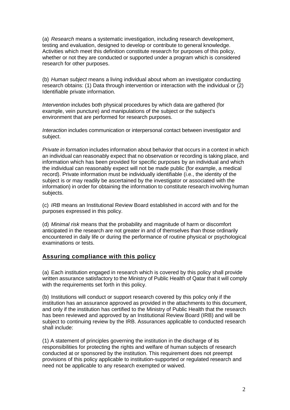(a) *Research* means a systematic investigation, including research development, testing and evaluation, designed to develop or contribute to general knowledge. Activities which meet this definition constitute research for purposes of this policy, whether or not they are conducted or supported under a program which is considered research for other purposes.

(b) *Human subject* means a living individual about whom an investigator conducting research obtains: (1) Data through intervention or interaction with the individual or (2) Identifiable private information.

*Intervention* includes both physical procedures by which data are gathered (for example, vein puncture) and manipulations of the subject or the subject's environment that are performed for research purposes.

*Interaction* includes communication or interpersonal contact between investigator and subject.

*Private in formation* includes information about behavior that occurs in a context in which an individual can reasonably expect that no observation or recording is taking place, and information which has been provided for specific purposes by an individual and which the individual can reasonably expect will not be made public (for example, a medical record). Private information must be individually identifiable (i.e., the identity of the subject is or may readily be ascertained by the investigator or associated with the information) in order for obtaining the information to constitute research involving human subjects.

(c) *IRB* means an Institutional Review Board established in accord with and for the purposes expressed in this policy.

(d) *Minimal risk* means that the probability and magnitude of harm or discomfort anticipated in the research are not greater in and of themselves than those ordinarily encountered in daily life or during the performance of routine physical or psychological examinations or tests.

#### **Assuring compliance with this policy**

(a) Each institution engaged in research which is covered by this policy shall provide written assurance satisfactory to the Ministry of Public Health of Qatar that it will comply with the requirements set forth in this policy.

(b) Institutions will conduct or support research covered by this policy only if the institution has an assurance approved as provided in the attachments to this document, and only if the institution has certified to the Ministry of Public Health that the research has been reviewed and approved by an Institutional Review Board (IRB) and will be subject to continuing review by the IRB. Assurances applicable to conducted research shall include:

(1) A statement of principles governing the institution in the discharge of its responsibilities for protecting the rights and welfare of human subjects of research conducted at or sponsored by the institution. This requirement does not preempt provisions of this policy applicable to institution-supported or regulated research and need not be applicable to any research exempted or waived.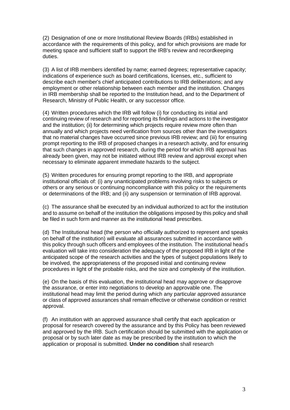(2) Designation of one or more Institutional Review Boards (IRBs) established in accordance with the requirements of this policy, and for which provisions are made for meeting space and sufficient staff to support the IRB's review and recordkeeping duties.

(3) A list of IRB members identified by name; earned degrees; representative capacity; indications of experience such as board certifications, licenses, etc., sufficient to describe each member's chief anticipated contributions to IRB deliberations; and any employment or other relationship between each member and the institution. Changes in IRB membership shall be reported to the Institution head, and to the Department of Research, Ministry of Public Health, or any successor office.

(4) Written procedures which the IRB will follow (i) for conducting its initial and continuing review of research and for reporting its findings and actions to the investigator and the institution; (ii) for determining which projects require review more often than annually and which projects need verification from sources other than the investigators that no material changes have occurred since previous IRB review; and (iii) for ensuring prompt reporting to the IRB of proposed changes in a research activity, and for ensuring that such changes in approved research, during the period for which IRB approval has already been given, may not be initiated without IRB review and approval except when necessary to eliminate apparent immediate hazards to the subject.

(5) Written procedures for ensuring prompt reporting to the IRB, and appropriate institutional officials of: (i) any unanticipated problems involving risks to subjects or others or any serious or continuing noncompliance with this policy or the requirements or determinations of the IRB; and (ii) any suspension or termination of IRB approval.

(c) The assurance shall be executed by an individual authorized to act for the institution and to assume on behalf of the institution the obligations imposed by this policy and shall be filed in such form and manner as the institutional head prescribes.

(d) The Institutional head (the person who officially authorized to represent and speaks on behalf of the institution) will evaluate all assurances submitted in accordance with this policy through such officers and employees of the institution. The institutional head' s evaluation will take into consideration the adequacy of the proposed IRB in light of the anticipated scope of the research activities and the types of subject populations likely to be involved, the appropriateness of the proposed initial and continuing review procedures in light of the probable risks, and the size and complexity of the institution.

(e) On the basis of this evaluation, the institutional head may approve or disapprove the assurance, or enter into negotiations to develop an approvable one. The institutional head may limit the period during which any particular approved assurance or class of approved assurances shall remain effective or otherwise condition or restrict approval.

(f) An institution with an approved assurance shall certify that each application or proposal for research covered by the assurance and by this Policy has been reviewed and approved by the IRB. Such certification should be submitted with the application or proposal or by such later date as may be prescribed by the institution to which the application or proposal is submitted. **Under no condition** shall research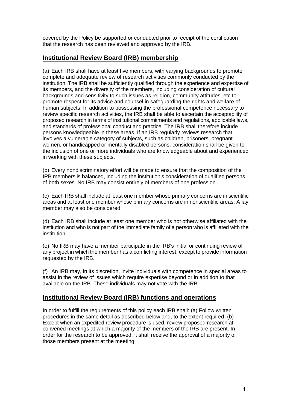covered by the Policy be supported or conducted prior to receipt of the certification that the research has been reviewed and approved by the IRB.

### **Institutional Review Board (IRB) membership**

(a) Each IRB shall have at least five members, with varying backgrounds to promote complete and adequate review of research activities commonly conducted by the institution. The IRB shall be sufficiently qualified through the experience and expertise of its members, and the diversity of the members, including consideration of cultural backgrounds and sensitivity to such issues as religion, community attitudes, etc to promote respect for its advice and counsel in safeguarding the rights and welfare of human subjects. In addition to possessing the professional competence necessary to review specific research activities, the IRB shall be able to ascertain the acceptability of proposed research in terms of institutional commitments and regulations, applicable laws, and standards of professional conduct and practice. The IRB shall therefore include persons knowledgeable in these areas. If an IRB regularly reviews research that involves a vulnerable category of subjects, such as children, prisoners, pregnant women, or handicapped or mentally disabled persons, consideration shall be given to the inclusion of one or more individuals who are knowledgeable about and experienced in working with these subjects.

(b) Every nondiscriminatory effort will be made to ensure that the composition of the IRB members is balanced, including the institution's consideration of qualified persons of both sexes. No IRB may consist entirely of members of one profession.

(c) Each IRB shall include at least one member whose primary concerns are in scientific areas and at least one member whose primary concerns are in nonscientific areas. A lay member may also be considered.

(d) Each IRB shall include at least one member who is not otherwise affiliated with the institution and who is not part of the immediate family of a person who is affiliated with the institution.

(e) No IRB may have a member participate in the IRB's initial or continuing review of any project in which the member has a conflicting interest, except to provide information requested by the IRB.

(f) An IRB may, in its discretion, invite individuals with competence in special areas to assist in the review of issues which require expertise beyond or in addition to that available on the IRB. These individuals may not vote with the IRB.

### **Institutional Review Board (IRB) functions and operations**

In order to fulfill the requirements of this policy each IRB shall: (a) Follow written procedures in the same detail as described below and, to the extent required. (b) Except when an expedited review procedure is used, review proposed research at convened meetings at which a majority of the members of the IRB are present. In order for the research to be approved, it shall receive the approval of a majority of those members present at the meeting.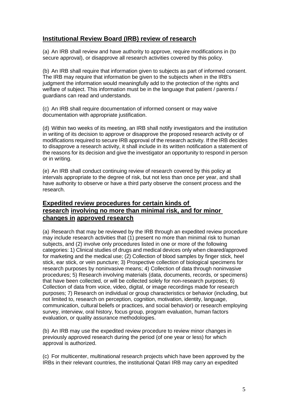### **Institutional Review Board (IRB) review of research**

(a) An IRB shall review and have authority to approve, require modifications in (to secure approval), or disapprove all research activities covered by this policy.

(b) An IRB shall require that information given to subjects as part of informed consent. The IRB may require that information be given to the subjects when in the IRB's judgment the information would meaningfully add to the protection of the rights and welfare of subject. This information must be in the language that patient / parents / guardians can read and understands.

(c) An IRB shall require documentation of informed consent or may waive documentation with appropriate justification.

(d) Within two weeks of its meeting, an IRB shall notify investigators and the institution in writing of its decision to approve or disapprove the proposed research activity or of modifications required to secure IRB approval of the research activity. If the IRB decides to disapprove a research activity, it shall include in its written notification a statement of the reasons for its decision and give the investigator an opportunity to respond in person or in writing.

(e) An IRB shall conduct continuing review of research covered by this policy at intervals appropriate to the degree of risk, but not less than once per year, and shall have authority to observe or have a third party observe the consent process and the research.

### **Expedited review procedures for certain kinds of research involving no more than minimal risk, and for minor changes in approved research**

(a) Research that may be reviewed by the IRB through an expedited review procedure may include research activities that (1) present no more than minimal risk to human subjects, and (2) involve only procedures listed in one or more of the following categories: 1) Clinical studies of drugs and medical devices only when cleared/approved for marketing and the medical use; (2) Collection of blood samples by finger stick, heel stick, ear stick, or vein puncture; 3) Prospective collection of biological specimens for research purposes by noninvasive means; 4) Collection of data through noninvasive procedures; 5) Research involving materials (data, documents, records, or specimens) that have been collected, or will be collected solely for non-research purposes; 6) Collection of data from voice, video, digital, or image recordings made for research purposes; 7) Research on individual or group characteristics or behavior (including, but not limited to, research on perception, cognition, motivation, identity, language, communication, cultural beliefs or practices, and social behavior) or research employing survey, interview, oral history, focus group, program evaluation, human factors evaluation, or quality assurance methodologies.

(b) An IRB may use the expedited review procedure to review minor changes in previously approved research during the period (of one year or less) for which approval is authorized.

(c) For multicenter, multinational research projects which have been approved by the IRBs in their relevant countries, the institutional Qatari IRB may carry an expedited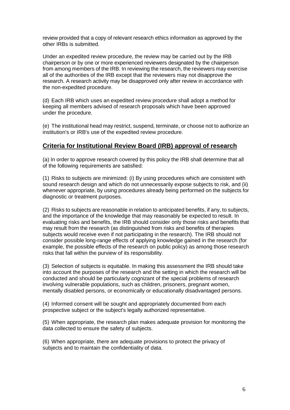review provided that a copy of relevant research ethics information as approved by the other IRBs is submitted.

Under an expedited review procedure, the review may be carried out by the IRB chairperson or by one or more experienced reviewers designated by the chairperson from among members of the IRB. In reviewing the research, the reviewers may exercise all of the authorities of the IRB except that the reviewers may not disapprove the research. A research activity may be disapproved only after review in accordance with the non-expedited procedure.

(d) Each IRB which uses an expedited review procedure shall adopt a method for keeping all members advised of research proposals which have been approved under the procedure.

(e) The institutional head may restrict, suspend, terminate, or choose not to authorize an institution's or IRB's use of the expedited review procedure.

#### **Criteria for Institutional Review Board (IRB) approval of research**

(a) In order to approve research covered by this policy the IRB shall determine that all of the following requirements are satisfied:

(1) Risks to subjects are minimized: (i) By using procedures which are consistent with sound research design and which do not unnecessarily expose subjects to risk, and (ii) whenever appropriate, by using procedures already being performed on the subjects for diagnostic or treatment purposes.

(2) Risks to subjects are reasonable in relation to anticipated benefits, if any, to subjects, and the importance of the knowledge that may reasonably be expected to result. In evaluating risks and benefits, the IRB should consider only those risks and benefits that may result from the research (as distinguished from risks and benefits of therapies subjects would receive even if not participating in the research). The IRB should not consider possible long-range effects of applying knowledge gained in the research (for example, the possible effects of the research on public policy) as among those research risks that fall within the purview of its responsibility.

(3) Selection of subjects is equitable. In making this assessment the IRB should take into account the purposes of the research and the setting in which the research will be conducted and should be particularly cognizant of the special problems of research involving vulnerable populations, such as children, prisoners, pregnant women, mentally disabled persons, or economically or educationally disadvantaged persons.

(4) Informed consent will be sought and appropriately documented from each prospective subject or the subject's legally authorized representative.

(5) When appropriate, the research plan makes adequate provision for monitoring the data collected to ensure the safety of subjects.

(6) When appropriate, there are adequate provisions to protect the privacy of subjects and to maintain the confidentiality of data.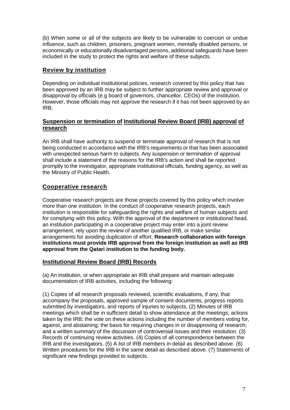(b) When some or all of the subjects are likely to be vulnerable to coercion or undue influence, such as children, prisoners, pregnant women, mentally disabled persons, or economically or educationally disadvantaged persons, additional safeguards have been included in the study to protect the rights and welfare of these subjects.

### **Review by institution**

Depending on individual institutional policies, research covered by this policy that has been approved by an IRB may be subject to further appropriate review and approval or disapproval by officials (e.g board of governors, chancellor, CEOs) of the institution. However, those officials may not approve the research if it has not been approved by an IRB.

#### **Suspension or termination of Institutional Review Board (IRB) approval of research**

An IRB shall have authority to suspend or terminate approval of research that is not being conducted in accordance with the IRB's requirements or that has been associated with unexpected serious harm to subjects. Any suspension or termination of approval shall include a statement of the reasons for the IRB's action and shall be reported promptly to the investigator, appropriate institutional officials, funding agency, as well as the Ministry of Public Health.

## **Cooperative research**

Cooperative research projects are those projects covered by this policy which involve more than one institution. In the conduct of cooperative research projects, each institution is responsible for safeguarding the rights and welfare of human subjects and for complying with this policy. With the approval of the department or institutional head, an institution participating in a cooperative project may enter into a joint review arrangement, rely upon the review of another qualified IRB, or make similar arrangements for avoiding duplication of effort. **Research collaboration with foreign institutions must provide IRB approval from the foreign institution as well as IRB approval from the Qatari institution to the funding body.**

### **Institutional Review Board (IRB) Records**

(a) An institution, or when appropriate an IRB shall prepare and maintain adequate documentation of IRB activities, including the following:

(1) Copies of all research proposals reviewed, scientific evaluations, if any, that accompany the proposals, approved sample of consent documents, progress reports submitted by investigators, and reports of injuries to subjects. (2) Minutes of IRB meetings which shall be in sufficient detail to show attendance at the meetings; actions taken by the IRB; the vote on these actions including the number of members voting for, against, and abstaining; the basis for requiring changes in or disapproving of research; and a written summary of the discussion of controversial issues and their resolution. (3) Records of continuing review activities. (4) Copies of all correspondence between the IRB and the investigators. (5) A list of IRB members in detail as described above. (6) Written procedures for the IRB in the same detail as described above. (7) Statements of significant new findings provided to subjects.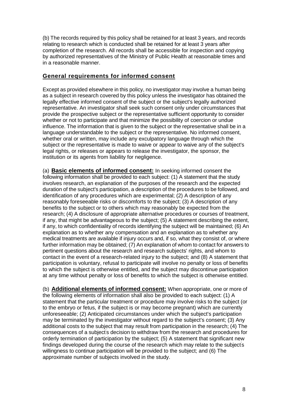(b) The records required by this policy shall be retained for at least 3 years, and records relating to research which is conducted shall be retained for at least 3 years after completion of the research. All records shall be accessible for inspection and copying by authorized representatives of the Ministry of Public Health at reasonable times and in a reasonable manner.

#### **General requirements for informed consent**

Except as provided elsewhere in this policy, no investigator may involve a human being as a subject in research covered by this policy unless the investigator has obtained the legally effective informed consent of the subject or the subject's legally authorized representative. An investigator shall seek such consent only under circumstances that provide the prospective subject or the representative sufficient opportunity to consider whether or not to participate and that minimize the possibility of coercion or undue influence. The information that is given to the subject or the representative shall be in a language understandable to the subject or the representative. No informed consent, whether oral or written, may include any exculpatory language through which the subject or the representative is made to waive or appear to waive any of the subject's legal rights, or releases or appears to release the investigator, the sponsor, the institution or its agents from liability for negligence.

(a) **Basic elements of informed consent:** In seeking informed consent the following information shall be provided to each subject: (1) A statement that the study involves research, an explanation of the purposes of the research and the expected duration of the subject's participation, a description of the procedures to be followed, and identification of any procedures which are experimental; (2) A description of any reasonably foreseeable risks or discomforts to the subject; (3) A description of any benefits to the subject or to others which may reasonably be expected from the research; (4) A disclosure of appropriate alternative procedures or courses of treatment, if any, that might be advantageous to the subject; (5) A statement describing the extent, if any, to which confidentiality of records identifying the subject will be maintained; (6) An explanation as to whether any compensation and an explanation as to whether any medical treatments are available if injury occurs and, if so, what they consist of, or where further information may be obtained; (7) An explanation of whom to contact for answers to pertinent questions about the research and research subjects' rights, and whom to contact in the event of a research-related injury to the subject; and (8) A statement that participation is voluntary, refusal to participate will involve no penalty or loss of benefits to which the subject is otherwise entitled, and the subject may discontinue participation at any time without penalty or loss of benefits to which the subject is otherwise entitled.

(b) **Additional elements of informed consent:** When appropriate, one or more of the following elements of information shall also be provided to each subject: (1) A statement that the particular treatment or procedure may involve risks to the subject (or to the embryo or fetus, if the subject is or may become pregnant) which are currently unforeseeable; (2) Anticipated circumstances under which the subject's participation may be terminated by the investigator without regard to the subject's consent; (3) Any additional costs to the subject that may result from participation in the research; (4) The consequences of a subject' s decision to withdraw from the research and procedures for orderly termination of participation by the subject; (5) A statement that significant new findings developed during the course of the research which may relate to the subjects willingness to continue participation will be provided to the subject; and (6) The approximate number of subjects involved in the study.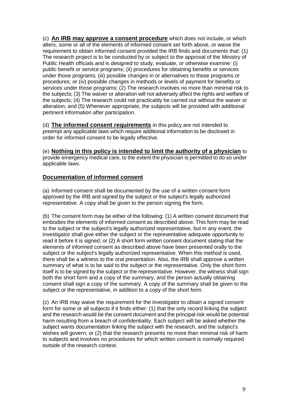(c) **An IRB may approve a consent procedure** which does not include, or which alters, some or all of the elements of informed consent set forth above, or waive the requirement to obtain informed consent provided the IRB finds and documents that: (1) The research project is to be conducted by or subject to the approval of the Ministry of Public Health officials and is designed to study, evaluate, or otherwise examine: (i) public benefit or service programs; (ii) procedures for obtaining benefits or services under those programs; (iii) possible changes in or alternatives to those programs or procedures; or (iv) possible changes in methods or levels of payment for benefits or services under those programs; (2) The research involves no more than minimal risk to the subjects; (3) The waiver or alteration will not adversely affect the rights and welfare of the subjects; (4) The research could not practicably be carried out without the waiver or alteration; and (5) Whenever appropriate, the subjects will be provided with additional pertinent information after participation.

(d) **The informed consent requirements** in this policy are not intended to preempt any applicable laws which require additional information to be disclosed in order for informed consent to be legally effective.

(e) **Nothing in this policy is intended to limit the authority of a physician** to

provide emergency medical care, to the extent the physician is permitted to do so under applicable laws.

### **Documentation of informed consent**

(a) Informed consent shall be documented by the use of a written consent form approved by the IRB and signed by the subject or the subject's legally authorized representative. A copy shall be given to the person signing the form.

(b) The consent form may be either of the following: (1) A written consent document that embodies the elements of informed consent as described above. This form may be read to the subject or the subject's legally authorized representative, but in any event, the investigator shall give either the subject or the representative adequate opportunity to read it before it is signed; or (2) A short form written consent document stating that the elements of informed consent as described above have been presented orally to the subject or the subject's legally authorized representative. When this method is used, there shall be a witness to the oral presentation. Also, the IRB shall approve a written summary of what is to be said to the subject or the representative. Only the short form itself is to be signed by the subject or the representative. However, the witness shall sign both the short form and a copy of the summary, and the person actually obtaining consent shall sign a copy of the summary. A copy of the summary shall be given to the subject or the representative, in addition to a copy of the short form.

(c) An IRB may waive the requirement for the investigator to obtain a signed consent form for some or all subjects if it finds either: (1) that the only record linking the subject and the research would be the consent document and the principal risk would be potential harm resulting from a breach of confidentiality. Each subject will be asked whether the subject wants documentation linking the subject with the research, and the subject's wishes will govern; or (2) that the research presents no more than minimal risk of harm to subjects and involves no procedures for which written consent is normally required outside of the research context.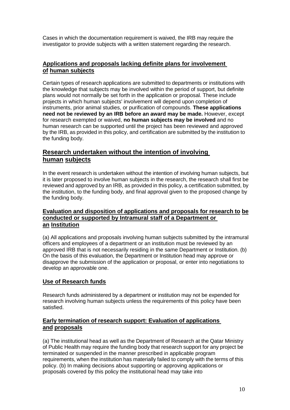Cases in which the documentation requirement is waived, the IRB may require the investigator to provide subjects with a written statement regarding the research.

#### **Applications and proposals lacking definite plans for involvement of human subjects**

Certain types of research applications are submitted to departments or institutions with the knowledge that subjects may be involved within the period of support, but definite plans would not normally be set forth in the application or proposal. These include projects in which human subjects' involvement will depend upon completion of instruments, prior animal studies, or purification of compounds. **These applications need not be reviewed by an IRB before an award may be made.** However, except for research exempted or waived, **no human subjects may be involved** and no human research can be supported until the project has been reviewed and approved by the IRB, as provided in this policy, and certification are submitted by the institution to the funding body.

### **Research undertaken without the intention of involving human subjects**

In the event research is undertaken without the intention of involving human subjects, but it is later proposed to involve human subjects in the research, the research shall first be reviewed and approved by an IRB, as provided in this policy, a certification submitted, by the institution, to the funding body, and final approval given to the proposed change by the funding body.

#### **Evaluation and disposition of applications and proposals for research to be conducted or supported by Intramural staff of a Department or an Institution**

(a) All applications and proposals involving human subjects submitted by the intramural officers and employees of a department or an institution must be reviewed by an approved IRB that is not necessarily residing in the same Department or Institution. (b) On the basis of this evaluation, the Department or Institution head may approve or disapprove the submission of the application or proposal, or enter into negotiations to develop an approvable one.

### **Use of Research funds**

Research funds administered by a department or institution may not be expended for research involving human subjects unless the requirements of this policy have been satisfied.

#### **Early termination of research support: Evaluation of applications and proposals**

(a) The institutional head as well as the Department of Research at the Qatar Ministry of Public Health may require the funding body that research support for any project be terminated or suspended in the manner prescribed in applicable program requirements, when the institution has materially failed to comply with the terms of this policy. (b) In making decisions about supporting or approving applications or proposals covered by this policy the institutional head may take into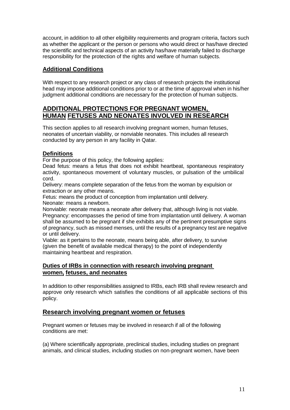account, in addition to all other eligibility requirements and program criteria, factors such as whether the applicant or the person or persons who would direct or has/have directed the scientific and technical aspects of an activity has/have materially failed to discharge responsibility for the protection of the rights and welfare of human subjects.

#### **Additional Conditions**

With respect to any research project or any class of research projects the institutional head may impose additional conditions prior to or at the time of approval when in his/her judgment additional conditions are necessary for the protection of human subjects.

### **ADDITIONAL PROTECTIONS FOR PREGNANT WOMEN, HUMAN FETUSES AND NEONATES INVOLVED IN RESEARCH**

This section applies to all research involving pregnant women, human fetuses, neonates of uncertain viability, or nonviable neonates. This includes all research conducted by any person in any facility in Qatar.

### **Definitions**

For the purpose of this policy, the following applies:

Dead fetus: means a fetus that does not exhibit heartbeat, spontaneous respiratory activity, spontaneous movement of voluntary muscles, or pulsation of the umbilical cord.

Delivery: means complete separation of the fetus from the woman by expulsion or extraction or any other means.

Fetus: means the product of conception from implantation until delivery.

Neonate: means a newborn.

Nonviable: neonate means a neonate after delivery that, although living is not viable. Pregnancy: encompasses the period of time from implantation until delivery. A woman shall be assumed to be pregnant if she exhibits any of the pertinent presumptive signs of pregnancy, such as missed menses, until the results of a pregnancy test are negative or until delivery.

Viable: as it pertains to the neonate, means being able, after delivery, to survive (given the benefit of available medical therapy) to the point of independently maintaining heartbeat and respiration.

#### **Duties of IRBs in connection with research involving pregnant women, fetuses, and neonates**

In addition to other responsibilities assigned to IRBs, each IRB shall review research and approve only research which satisfies the conditions of all applicable sections of this policy.

### **Research involving pregnant women or fetuses**

Pregnant women or fetuses may be involved in research if all of the following conditions are met:

(a) Where scientifically appropriate, preclinical studies, including studies on pregnant animals, and clinical studies, including studies on non-pregnant women, have been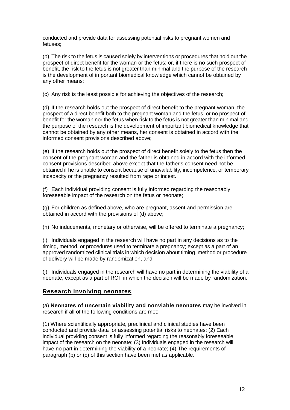conducted and provide data for assessing potential risks to pregnant women and fetuses;

(b) The risk to the fetus is caused solely by interventions or procedures that hold out the prospect of direct benefit for the woman or the fetus; or, if there is no such prospect of benefit, the risk to the fetus is not greater than minimal and the purpose of the research is the development of important biomedical knowledge which cannot be obtained by any other means;

(c) Any risk is the least possible for achieving the objectives of the research;

(d) If the research holds out the prospect of direct benefit to the pregnant woman, the prospect of a direct benefit both to the pregnant woman and the fetus, or no prospect of benefit for the woman nor the fetus when risk to the fetus is not greater than minimal and the purpose of the research is the development of important biomedical knowledge that cannot be obtained by any other means, her consent is obtained in accord with the informed consent provisions described above;

(e) If the research holds out the prospect of direct benefit solely to the fetus then the consent of the pregnant woman and the father is obtained in accord with the informed consent provisions described above except that the father's consent need not be obtained if he is unable to consent because of unavailability, incompetence, or temporary incapacity or the pregnancy resulted from rape or incest.

(f) Each individual providing consent is fully informed regarding the reasonably foreseeable impact of the research on the fetus or neonate;

(g) For children as defined above, who are pregnant, assent and permission are obtained in accord with the provisions of (d) above;

(h) No inducements, monetary or otherwise, will be offered to terminate a pregnancy;

(i) Individuals engaged in the research will have no part in any decisions as to the timing, method, or procedures used to terminate a pregnancy; except as a part of an approved randomized clinical trials in which decision about timing, method or procedure of delivery will be made by randomization, and

(j) Individuals engaged in the research will have no part in determining the viability of a neonate, except as a part of RCT in which the decision will be made by randomization.

#### **Research involving neonates**

(a) **Neonates of uncertain viability and nonviable neonates** may be involved in research if all of the following conditions are met:

(1) Where scientifically appropriate, preclinical and clinical studies have been conducted and provide data for assessing potential risks to neonates; (2) Each individual providing consent is fully informed regarding the reasonably foreseeable impact of the research on the neonate; (3) Individuals engaged in the research will have no part in determining the viability of a neonate; (4) The requirements of paragraph (b) or (c) of this section have been met as applicable.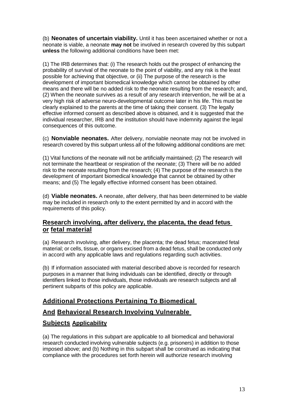(b) **Neonates of uncertain viability.** Until it has been ascertained whether or not a neonate is viable, a neonate **may not** be involved in research covered by this subpart **unless** the following additional conditions have been met:

(1) The IRB determines that: (i) The research holds out the prospect of enhancing the probability of survival of the neonate to the point of viability, and any risk is the least possible for achieving that objective, or (ii) The purpose of the research is the development of important biomedical knowledge which cannot be obtained by other means and there will be no added risk to the neonate resulting from the research; and, (2) When the neonate survives as a result of any research intervention, he will be at a very high risk of adverse neuro-developmental outcome later in his life. This must be clearly explained to the parents at the time of taking their consent. (3) The legally effective informed consent as described above is obtained, and it is suggested that the individual researcher, IRB and the institution should have indemnity against the legal consequences of this outcome.

(c) **Nonviable neonates.** After delivery, nonviable neonate may not be involved in research covered by this subpart unless all of the following additional conditions are met:

(1) Vital functions of the neonate will not be artificially maintained; (2) The research will not terminate the heartbeat or respiration of the neonate; (3) There will be no added risk to the neonate resulting from the research; (4) The purpose of the research is the development of important biomedical knowledge that cannot be obtained by other means; and (5) The legally effective informed consent has been obtained.

(d) **Viable neonates.** A neonate, after delivery, that has been determined to be viable may be included in research only to the extent permitted by and in accord with the requirements of this policy.

### **Research involving, after delivery, the placenta, the dead fetus or fetal material**

(a) Research involving, after delivery, the placenta; the dead fetus; macerated fetal material; or cells, tissue, or organs excised from a dead fetus, shall be conducted only in accord with any applicable laws and regulations regarding such activities.

(b) If information associated with material described above is recorded for research purposes in a manner that living individuals can be identified, directly or through identifiers linked to those individuals, those individuals are research subjects and all pertinent subparts of this policy are applicable.

## **Additional Protections Pertaining To Biomedical**

## **And Behavioral Research Involving Vulnerable**

### **Subjects Applicability**

(a) The regulations in this subpart are applicable to all biomedical and behavioral research conducted involving vulnerable subjects (e.g. prisoners) in addition to those imposed above; and (b) Nothing in this subpart shall be construed as indicating that compliance with the procedures set forth herein will authorize research involving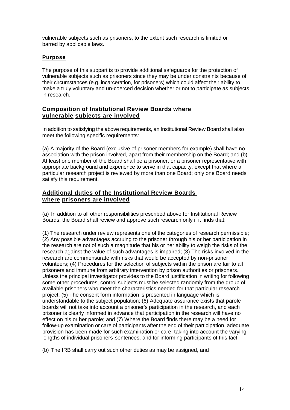vulnerable subjects such as prisoners, to the extent such research is limited or barred by applicable laws.

#### **Purpose**

The purpose of this subpart is to provide additional safeguards for the protection of vulnerable subjects such as prisoners since they may be under constraints because of their circumstances (e.g. incarceration, for prisoners) which could affect their ability to make a truly voluntary and un-coerced decision whether or not to participate as subjects in research.

#### **Composition of Institutional Review Boards where vulnerable subjects are involved**

In addition to satisfying the above requirements, an Institutional Review Board shall also meet the following specific requirements:

(a) A majority of the Board (exclusive of prisoner members for example) shall have no association with the prison involved, apart from their membership on the Board; and (b) At least one member of the Board shall be a prisoner, or a prisoner representative with appropriate background and experience to serve in that capacity, except that where a particular research project is reviewed by more than one Board; only one Board needs satisfy this requirement.

#### **Additional duties of the Institutional Review Boards where prisoners are involved**

(a) In addition to all other responsibilities prescribed above for Institutional Review Boards, the Board shall review and approve such research only if it finds that:

(1) The research under review represents one of the categories of research permissible; (2) Any possible advantages accruing to the prisoner through his or her participation in the research are not of such a magnitude that his or her ability to weigh the risks of the research against the value of such advantages is impaired; (3) The risks involved in the research are commensurate with risks that would be accepted by non-prisoner volunteers; (4) Procedures for the selection of subjects within the prison are fair to all prisoners and immune from arbitrary intervention by prison authorities or prisoners. Unless the principal investigator provides to the Board justification in writing for following some other procedures, control subjects must be selected randomly from the group of available prisoners who meet the characteristics needed for that particular research project; (5) The consent form information is presented in language which is understandable to the subject population; (6) Adequate assurance exists that parole boards will not take into account a prisoner's participation in the research, and each prisoner is clearly informed in advance that participation in the research will have no effect on his or her parole; and (7) Where the Board finds there may be a need for follow-up examination or care of participants after the end of their participation, adequate provision has been made for such examination or care, taking into account the varying lengths of individual prisoners sentences, and for informing participants of this fact.

(b) The IRB shall carry out such other duties as may be assigned, and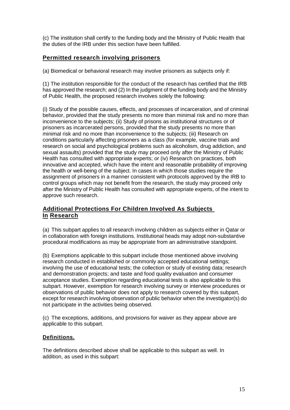(c) The institution shall certify to the funding body and the Ministry of Public Health that the duties of the IRB under this section have been fulfilled.

#### **Permitted research involving prisoners**

(a) Biomedical or behavioral research may involve prisoners as subjects only if:

(1) The institution responsible for the conduct of the research has certified that the IRB has approved the research; and (2) In the judgment of the funding body and the Ministry of Public Health, the proposed research involves solely the following:

(i) Study of the possible causes, effects, and processes of incarceration, and of criminal behavior, provided that the study presents no more than minimal risk and no more than inconvenience to the subjects; (ii) Study of prisons as institutional structures or of prisoners as incarcerated persons, provided that the study presents no more than minimal risk and no more than inconvenience to the subjects; (iii) Research on conditions particularly affecting prisoners as a class (for example, vaccine trials and research on social and psychological problems such as alcoholism, drug addiction, and sexual assaults) provided that the study may proceed only after the Ministry of Public Health has consulted with appropriate experts; or (iv) Research on practices, both innovative and accepted, which have the intent and reasonable probability of improving the health or well-being of the subject. In cases in which those studies require the assignment of prisoners in a manner consistent with protocols approved by the IRB to control groups which may not benefit from the research, the study may proceed only after the Ministry of Public Health has consulted with appropriate experts, of the intent to approve such research.

#### **Additional Protections For Children Involved As Subjects In Research**

(a) This subpart applies to all research involving children as subjects either in Qatar or in collaboration with foreign institutions. Institutional heads may adopt non-substantive procedural modifications as may be appropriate from an administrative standpoint.

(b) Exemptions applicable to this subpart include those mentioned above involving research conducted in established or commonly accepted educational settings; involving the use of educational tests; the collection or study of existing data; research and demonstration projects; and taste and food quality evaluation and consumer acceptance studies. Exemption regarding educational tests is also applicable to this subpart. However, exemption for research involving survey or interview procedures or observations of public behavior does not apply to research covered by this subpart, except for research involving observation of public behavior when the investigator(s) do not participate in the activities being observed.

(c) The exceptions, additions, and provisions for waiver as they appear above are applicable to this subpart.

#### **Definitions.**

The definitions described above shall be applicable to this subpart as well. In addition, as used in this subpart: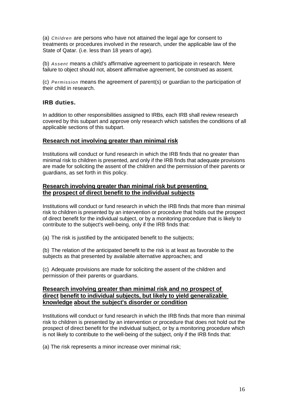(a) *Children* are persons who have not attained the legal age for consent to treatments or procedures involved in the research, under the applicable law of the State of Qatar. (i.e. less than 18 years of age).

(b) *Assent* means a child's affirmative agreement to participate in research. Mere failure to object should not, absent affirmative agreement, be construed as assent.

(c) *Permission* means the agreement of parent(s) or guardian to the participation of their child in research.

#### **IRB duties.**

In addition to other responsibilities assigned to IRBs, each IRB shall review research covered by this subpart and approve only research which satisfies the conditions of all applicable sections of this subpart.

#### **Research not involving greater than minimal risk**

Institutions will conduct or fund research in which the IRB finds that no greater than minimal risk to children is presented, and only if the IRB finds that adequate provisions are made for soliciting the assent of the children and the permission of their parents or guardians, as set forth in this policy.

#### **Research involving greater than minimal risk but presenting the prospect of direct benefit to the individual subjects**

Institutions will conduct or fund research in which the IRB finds that more than minimal risk to children is presented by an intervention or procedure that holds out the prospect of direct benefit for the individual subject, or by a monitoring procedure that is likely to contribute to the subject's well-being, only if the IRB finds that:

(a) The risk is justified by the anticipated benefit to the subjects;

(b) The relation of the anticipated benefit to the risk is at least as favorable to the subjects as that presented by available alternative approaches; and

(c) Adequate provisions are made for soliciting the assent of the children and permission of their parents or guardians.

#### **Research involving greater than minimal risk and no prospect of direct benefit to individual subjects, but likely to yield generalizable knowledge about the subject's disorder or condition**

Institutions will conduct or fund research in which the IRB finds that more than minimal risk to children is presented by an intervention or procedure that does not hold out the prospect of direct benefit for the individual subject, or by a monitoring procedure which is not likely to contribute to the well-being of the subject, only if the IRB finds that:

(a) The risk represents a minor increase over minimal risk;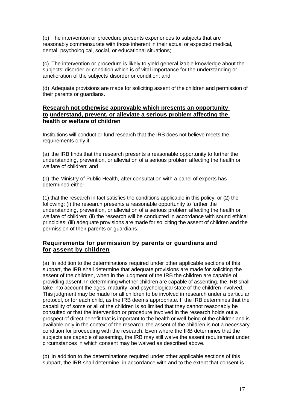(b) The intervention or procedure presents experiences to subjects that are reasonably commensurate with those inherent in their actual or expected medical, dental, psychological, social, or educational situations;

(c) The intervention or procedure is likely to yield general izable knowledge about the subjects' disorder or condition which is of vital importance for the understanding or amelioration of the subjects' disorder or condition; and

(d) Adequate provisions are made for soliciting assent of the children and permission of their parents or guardians.

#### **Research not otherwise approvable which presents an opportunity to understand, prevent, or alleviate a serious problem affecting the health or welfare of children**

Institutions will conduct or fund research that the IRB does not believe meets the requirements only if:

(a) the IRB finds that the research presents a reasonable opportunity to further the understanding, prevention, or alleviation of a serious problem affecting the health or welfare of children; and

(b) the Ministry of Public Health, after consultation with a panel of experts has determined either:

(1) that the research in fact satisfies the conditions applicable in this policy, or (2) the following: (i) the research presents a reasonable opportunity to further the understanding, prevention, or alleviation of a serious problem affecting the health or welfare of children; (ii) the research will be conducted in accordance with sound ethical principles; (iii) adequate provisions are made for soliciting the assent of children and the permission of their parents or guardians.

#### **Requirements for permission by parents or guardians and for assent by children**

(a) In addition to the determinations required under other applicable sections of this subpart, the IRB shall determine that adequate provisions are made for soliciting the assent of the children, when in the judgment of the IRB the children are capable of providing assent. In determining whether children are capable of assenting, the IRB shall take into account the ages, maturity, and psychological state of the children involved. This judgment may be made for all children to be involved in research under a particular protocol, or for each child, as the IRB deems appropriate. If the IRB determines that the capability of some or all of the children is so limited that they cannot reasonably be consulted or that the intervention or procedure involved in the research holds out a prospect of direct benefit that is important to the health or well-being of the children and is available only in the context of the research, the assent of the children is not a necessary condition for proceeding with the research. Even where the IRB determines that the subjects are capable of assenting, the IRB may still waive the assent requirement under circumstances in which consent may be waived as described above.

(b) In addition to the determinations required under other applicable sections of this subpart, the IRB shall determine, in accordance with and to the extent that consent is